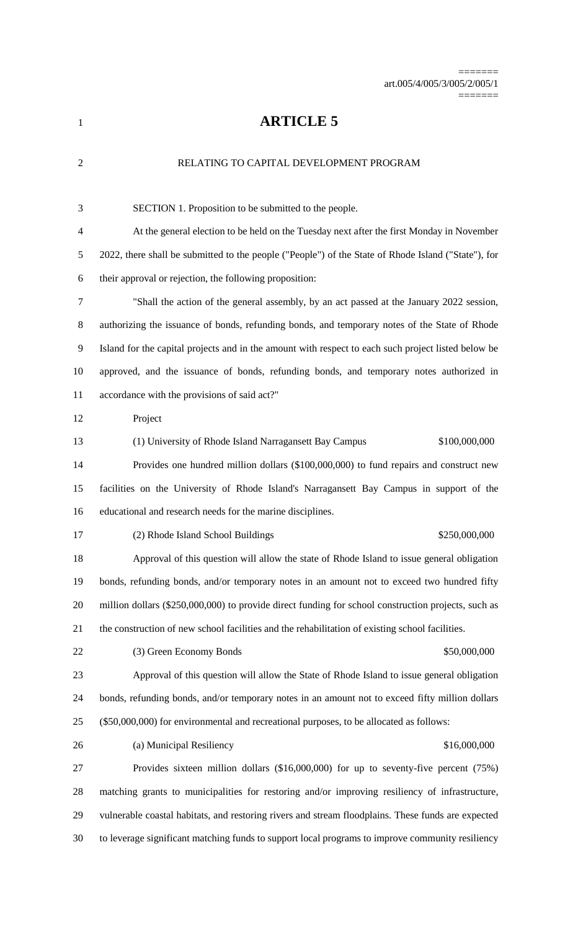## **ARTICLE 5**

# RELATING TO CAPITAL DEVELOPMENT PROGRAM SECTION 1. Proposition to be submitted to the people. At the general election to be held on the Tuesday next after the first Monday in November 2022, there shall be submitted to the people ("People") of the State of Rhode Island ("State"), for their approval or rejection, the following proposition: "Shall the action of the general assembly, by an act passed at the January 2022 session, authorizing the issuance of bonds, refunding bonds, and temporary notes of the State of Rhode Island for the capital projects and in the amount with respect to each such project listed below be approved, and the issuance of bonds, refunding bonds, and temporary notes authorized in accordance with the provisions of said act?" Project (1) University of Rhode Island Narragansett Bay Campus \$100,000,000 Provides one hundred million dollars (\$100,000,000) to fund repairs and construct new facilities on the University of Rhode Island's Narragansett Bay Campus in support of the educational and research needs for the marine disciplines. 17 (2) Rhode Island School Buildings \$250,000,000 Approval of this question will allow the state of Rhode Island to issue general obligation bonds, refunding bonds, and/or temporary notes in an amount not to exceed two hundred fifty million dollars (\$250,000,000) to provide direct funding for school construction projects, such as the construction of new school facilities and the rehabilitation of existing school facilities. (3) Green Economy Bonds \$50,000,000 Approval of this question will allow the State of Rhode Island to issue general obligation bonds, refunding bonds, and/or temporary notes in an amount not to exceed fifty million dollars (\$50,000,000) for environmental and recreational purposes, to be allocated as follows: 26 (a) Municipal Resiliency \$16,000,000 Provides sixteen million dollars (\$16,000,000) for up to seventy-five percent (75%) matching grants to municipalities for restoring and/or improving resiliency of infrastructure, vulnerable coastal habitats, and restoring rivers and stream floodplains. These funds are expected to leverage significant matching funds to support local programs to improve community resiliency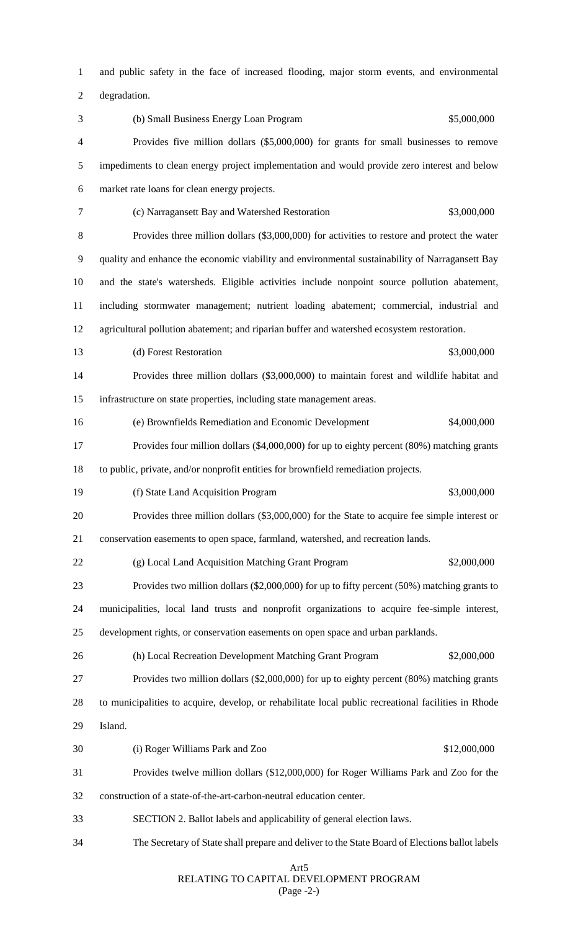and public safety in the face of increased flooding, major storm events, and environmental

degradation.

 (b) Small Business Energy Loan Program \$5,000,000 Provides five million dollars (\$5,000,000) for grants for small businesses to remove impediments to clean energy project implementation and would provide zero interest and below market rate loans for clean energy projects. (c) Narragansett Bay and Watershed Restoration \$3,000,000 Provides three million dollars (\$3,000,000) for activities to restore and protect the water quality and enhance the economic viability and environmental sustainability of Narragansett Bay and the state's watersheds. Eligible activities include nonpoint source pollution abatement, including stormwater management; nutrient loading abatement; commercial, industrial and agricultural pollution abatement; and riparian buffer and watershed ecosystem restoration. 13 (d) Forest Restoration  $$3,000,000$  Provides three million dollars (\$3,000,000) to maintain forest and wildlife habitat and infrastructure on state properties, including state management areas. (e) Brownfields Remediation and Economic Development \$4,000,000 Provides four million dollars (\$4,000,000) for up to eighty percent (80%) matching grants to public, private, and/or nonprofit entities for brownfield remediation projects. 19 (f) State Land Acquisition Program \$3,000,000 Provides three million dollars (\$3,000,000) for the State to acquire fee simple interest or conservation easements to open space, farmland, watershed, and recreation lands. 22 (g) Local Land Acquisition Matching Grant Program \$2,000,000 Provides two million dollars (\$2,000,000) for up to fifty percent (50%) matching grants to municipalities, local land trusts and nonprofit organizations to acquire fee-simple interest, development rights, or conservation easements on open space and urban parklands. (h) Local Recreation Development Matching Grant Program \$2,000,000 Provides two million dollars (\$2,000,000) for up to eighty percent (80%) matching grants to municipalities to acquire, develop, or rehabilitate local public recreational facilities in Rhode Island. (i) Roger Williams Park and Zoo \$12,000,000 Provides twelve million dollars (\$12,000,000) for Roger Williams Park and Zoo for the construction of a state-of-the-art-carbon-neutral education center. SECTION 2. Ballot labels and applicability of general election laws. The Secretary of State shall prepare and deliver to the State Board of Elections ballot labels

#### Art5 RELATING TO CAPITAL DEVELOPMENT PROGRAM (Page -2-)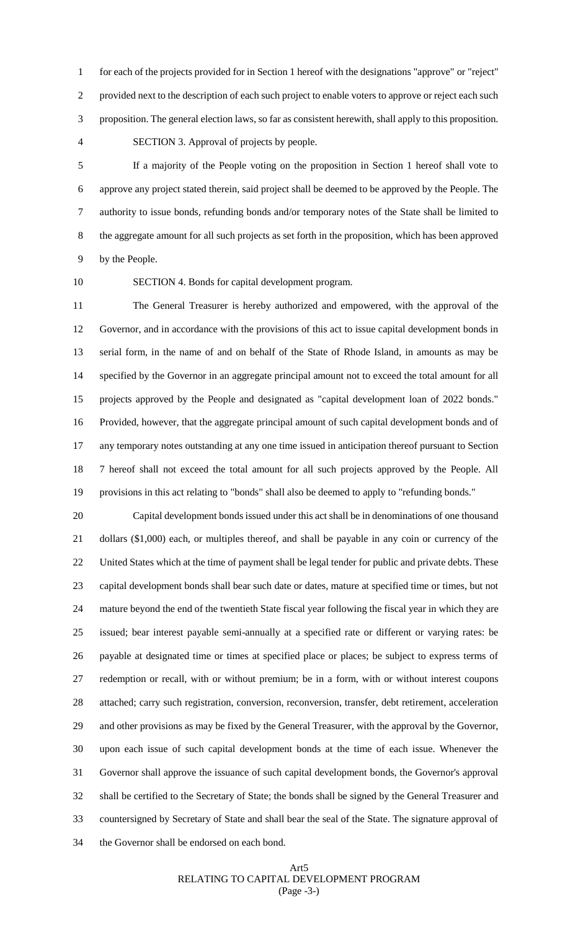for each of the projects provided for in Section 1 hereof with the designations "approve" or "reject" provided next to the description of each such project to enable voters to approve or reject each such proposition. The general election laws, so far as consistent herewith, shall apply to this proposition. SECTION 3. Approval of projects by people.

 If a majority of the People voting on the proposition in Section 1 hereof shall vote to approve any project stated therein, said project shall be deemed to be approved by the People. The authority to issue bonds, refunding bonds and/or temporary notes of the State shall be limited to the aggregate amount for all such projects as set forth in the proposition, which has been approved by the People.

SECTION 4. Bonds for capital development program.

 The General Treasurer is hereby authorized and empowered, with the approval of the Governor, and in accordance with the provisions of this act to issue capital development bonds in serial form, in the name of and on behalf of the State of Rhode Island, in amounts as may be specified by the Governor in an aggregate principal amount not to exceed the total amount for all projects approved by the People and designated as "capital development loan of 2022 bonds." Provided, however, that the aggregate principal amount of such capital development bonds and of any temporary notes outstanding at any one time issued in anticipation thereof pursuant to Section 7 hereof shall not exceed the total amount for all such projects approved by the People. All provisions in this act relating to "bonds" shall also be deemed to apply to "refunding bonds."

 Capital development bonds issued under this act shall be in denominations of one thousand dollars (\$1,000) each, or multiples thereof, and shall be payable in any coin or currency of the United States which at the time of payment shall be legal tender for public and private debts. These capital development bonds shall bear such date or dates, mature at specified time or times, but not mature beyond the end of the twentieth State fiscal year following the fiscal year in which they are issued; bear interest payable semi-annually at a specified rate or different or varying rates: be payable at designated time or times at specified place or places; be subject to express terms of redemption or recall, with or without premium; be in a form, with or without interest coupons attached; carry such registration, conversion, reconversion, transfer, debt retirement, acceleration and other provisions as may be fixed by the General Treasurer, with the approval by the Governor, upon each issue of such capital development bonds at the time of each issue. Whenever the Governor shall approve the issuance of such capital development bonds, the Governor's approval shall be certified to the Secretary of State; the bonds shall be signed by the General Treasurer and countersigned by Secretary of State and shall bear the seal of the State. The signature approval of the Governor shall be endorsed on each bond.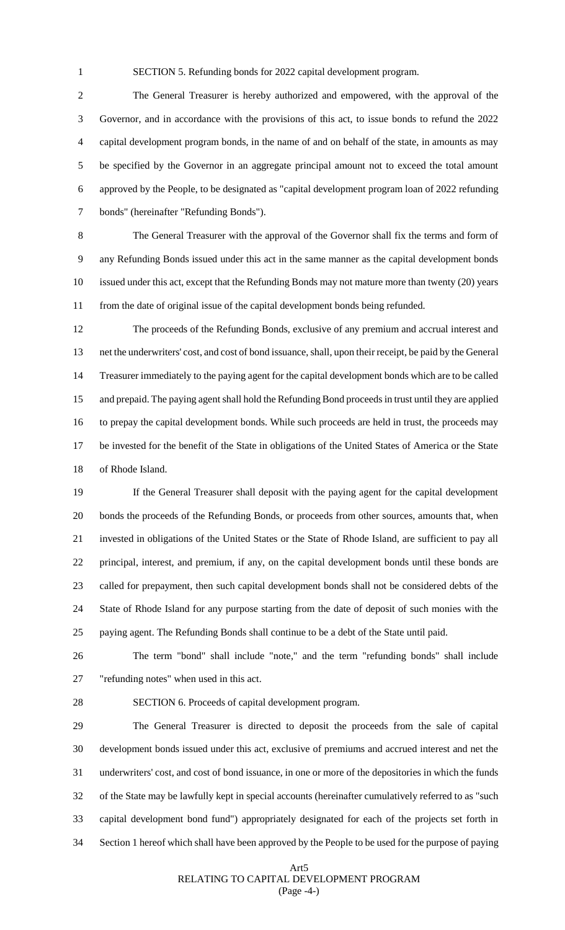SECTION 5. Refunding bonds for 2022 capital development program.

 The General Treasurer is hereby authorized and empowered, with the approval of the Governor, and in accordance with the provisions of this act, to issue bonds to refund the 2022 capital development program bonds, in the name of and on behalf of the state, in amounts as may be specified by the Governor in an aggregate principal amount not to exceed the total amount approved by the People, to be designated as "capital development program loan of 2022 refunding bonds" (hereinafter "Refunding Bonds").

 The General Treasurer with the approval of the Governor shall fix the terms and form of any Refunding Bonds issued under this act in the same manner as the capital development bonds issued under this act, except that the Refunding Bonds may not mature more than twenty (20) years from the date of original issue of the capital development bonds being refunded.

 The proceeds of the Refunding Bonds, exclusive of any premium and accrual interest and net the underwriters' cost, and cost of bond issuance, shall, upon their receipt, be paid by the General Treasurer immediately to the paying agent for the capital development bonds which are to be called and prepaid. The paying agent shall hold the Refunding Bond proceeds in trust until they are applied to prepay the capital development bonds. While such proceeds are held in trust, the proceeds may be invested for the benefit of the State in obligations of the United States of America or the State of Rhode Island.

 If the General Treasurer shall deposit with the paying agent for the capital development bonds the proceeds of the Refunding Bonds, or proceeds from other sources, amounts that, when invested in obligations of the United States or the State of Rhode Island, are sufficient to pay all principal, interest, and premium, if any, on the capital development bonds until these bonds are called for prepayment, then such capital development bonds shall not be considered debts of the State of Rhode Island for any purpose starting from the date of deposit of such monies with the paying agent. The Refunding Bonds shall continue to be a debt of the State until paid.

 The term "bond" shall include "note," and the term "refunding bonds" shall include "refunding notes" when used in this act.

SECTION 6. Proceeds of capital development program.

 The General Treasurer is directed to deposit the proceeds from the sale of capital development bonds issued under this act, exclusive of premiums and accrued interest and net the underwriters' cost, and cost of bond issuance, in one or more of the depositories in which the funds of the State may be lawfully kept in special accounts (hereinafter cumulatively referred to as "such capital development bond fund") appropriately designated for each of the projects set forth in Section 1 hereof which shall have been approved by the People to be used for the purpose of paying

### Art5 RELATING TO CAPITAL DEVELOPMENT PROGRAM (Page -4-)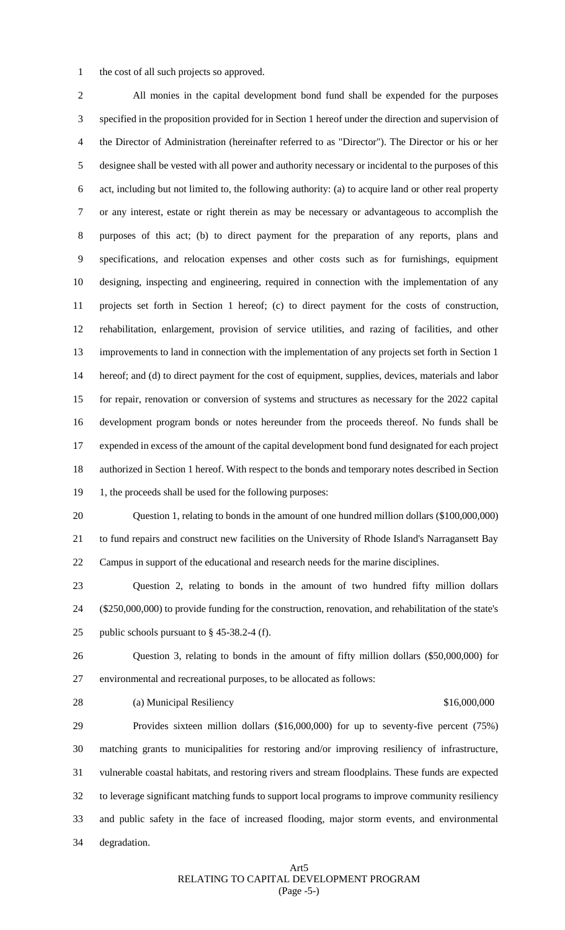the cost of all such projects so approved.

 All monies in the capital development bond fund shall be expended for the purposes specified in the proposition provided for in Section 1 hereof under the direction and supervision of the Director of Administration (hereinafter referred to as "Director"). The Director or his or her designee shall be vested with all power and authority necessary or incidental to the purposes of this act, including but not limited to, the following authority: (a) to acquire land or other real property or any interest, estate or right therein as may be necessary or advantageous to accomplish the purposes of this act; (b) to direct payment for the preparation of any reports, plans and specifications, and relocation expenses and other costs such as for furnishings, equipment designing, inspecting and engineering, required in connection with the implementation of any projects set forth in Section 1 hereof; (c) to direct payment for the costs of construction, rehabilitation, enlargement, provision of service utilities, and razing of facilities, and other improvements to land in connection with the implementation of any projects set forth in Section 1 hereof; and (d) to direct payment for the cost of equipment, supplies, devices, materials and labor for repair, renovation or conversion of systems and structures as necessary for the 2022 capital development program bonds or notes hereunder from the proceeds thereof. No funds shall be expended in excess of the amount of the capital development bond fund designated for each project authorized in Section 1 hereof. With respect to the bonds and temporary notes described in Section 19 1, the proceeds shall be used for the following purposes:

 Question 1, relating to bonds in the amount of one hundred million dollars (\$100,000,000) to fund repairs and construct new facilities on the University of Rhode Island's Narragansett Bay Campus in support of the educational and research needs for the marine disciplines.

 Question 2, relating to bonds in the amount of two hundred fifty million dollars (\$250,000,000) to provide funding for the construction, renovation, and rehabilitation of the state's 25 public schools pursuant to  $\S$  45-38.2-4 (f).

 Question 3, relating to bonds in the amount of fifty million dollars (\$50,000,000) for environmental and recreational purposes, to be allocated as follows:

28 (a) Municipal Resiliency **316,000,000** 

 Provides sixteen million dollars (\$16,000,000) for up to seventy-five percent (75%) matching grants to municipalities for restoring and/or improving resiliency of infrastructure, vulnerable coastal habitats, and restoring rivers and stream floodplains. These funds are expected to leverage significant matching funds to support local programs to improve community resiliency and public safety in the face of increased flooding, major storm events, and environmental degradation.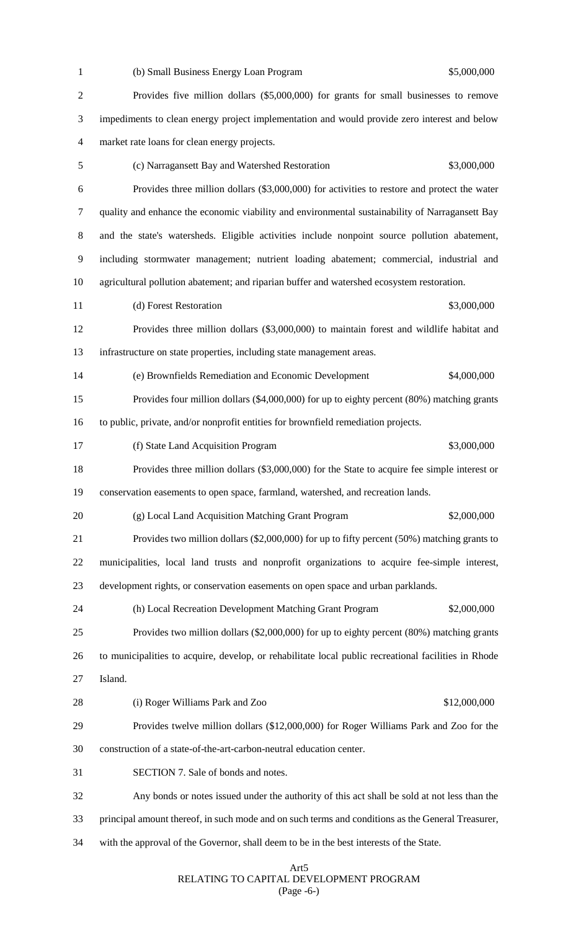| $\mathbf{1}$   | (b) Small Business Energy Loan Program<br>\$5,000,000                                                |
|----------------|------------------------------------------------------------------------------------------------------|
| $\overline{2}$ | Provides five million dollars (\$5,000,000) for grants for small businesses to remove                |
| 3              | impediments to clean energy project implementation and would provide zero interest and below         |
| 4              | market rate loans for clean energy projects.                                                         |
| 5              | \$3,000,000<br>(c) Narragansett Bay and Watershed Restoration                                        |
| 6              | Provides three million dollars (\$3,000,000) for activities to restore and protect the water         |
| 7              | quality and enhance the economic viability and environmental sustainability of Narragansett Bay      |
| 8              | and the state's watersheds. Eligible activities include nonpoint source pollution abatement,         |
| 9              | including stormwater management; nutrient loading abatement; commercial, industrial and              |
| 10             | agricultural pollution abatement; and riparian buffer and watershed ecosystem restoration.           |
| 11             | \$3,000,000<br>(d) Forest Restoration                                                                |
| 12             | Provides three million dollars (\$3,000,000) to maintain forest and wildlife habitat and             |
| 13             | infrastructure on state properties, including state management areas.                                |
| 14             | (e) Brownfields Remediation and Economic Development<br>\$4,000,000                                  |
| 15             | Provides four million dollars (\$4,000,000) for up to eighty percent (80%) matching grants           |
| 16             | to public, private, and/or nonprofit entities for brownfield remediation projects.                   |
| 17             | \$3,000,000<br>(f) State Land Acquisition Program                                                    |
| 18             | Provides three million dollars (\$3,000,000) for the State to acquire fee simple interest or         |
| 19             | conservation easements to open space, farmland, watershed, and recreation lands.                     |
| 20             | \$2,000,000<br>(g) Local Land Acquisition Matching Grant Program                                     |
| 21             | Provides two million dollars $(\$2,000,000)$ for up to fifty percent $(50%)$ matching grants to      |
| 22             | municipalities, local land trusts and nonprofit organizations to acquire fee-simple interest,        |
| 23             | development rights, or conservation easements on open space and urban parklands.                     |
| 24             | \$2,000,000<br>(h) Local Recreation Development Matching Grant Program                               |
| 25             | Provides two million dollars (\$2,000,000) for up to eighty percent (80%) matching grants            |
| 26             | to municipalities to acquire, develop, or rehabilitate local public recreational facilities in Rhode |
| 27             | Island.                                                                                              |
| 28             | \$12,000,000<br>(i) Roger Williams Park and Zoo                                                      |
| 29             | Provides twelve million dollars (\$12,000,000) for Roger Williams Park and Zoo for the               |
| 30             | construction of a state-of-the-art-carbon-neutral education center.                                  |
| 31             | SECTION 7. Sale of bonds and notes.                                                                  |
| 32             | Any bonds or notes issued under the authority of this act shall be sold at not less than the         |
| 33             | principal amount thereof, in such mode and on such terms and conditions as the General Treasurer,    |
| 34             | with the approval of the Governor, shall deem to be in the best interests of the State.              |
|                |                                                                                                      |

#### Art5 RELATING TO CAPITAL DEVELOPMENT PROGRAM (Page -6-)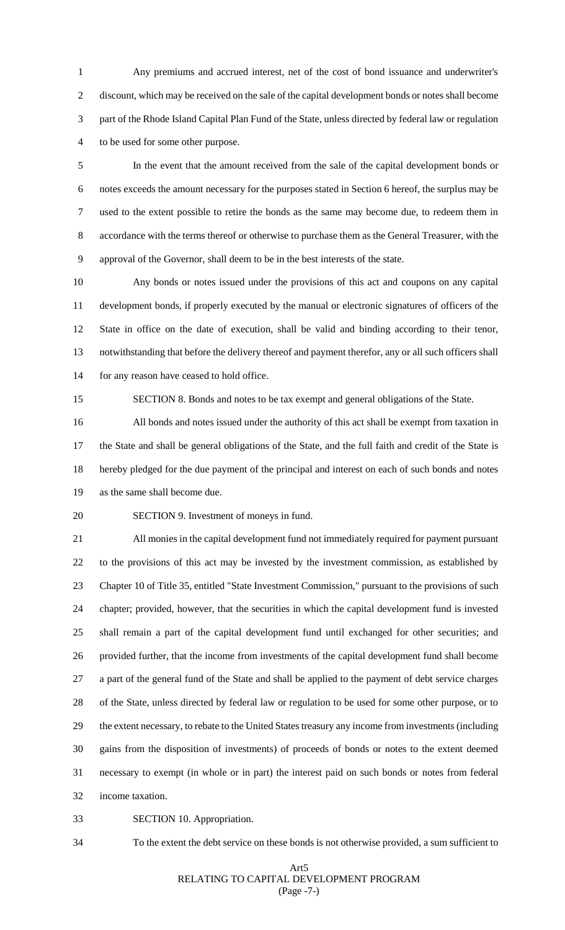Any premiums and accrued interest, net of the cost of bond issuance and underwriter's discount, which may be received on the sale of the capital development bonds or notes shall become part of the Rhode Island Capital Plan Fund of the State, unless directed by federal law or regulation to be used for some other purpose.

 In the event that the amount received from the sale of the capital development bonds or notes exceeds the amount necessary for the purposes stated in Section 6 hereof, the surplus may be used to the extent possible to retire the bonds as the same may become due, to redeem them in accordance with the terms thereof or otherwise to purchase them as the General Treasurer, with the approval of the Governor, shall deem to be in the best interests of the state.

 Any bonds or notes issued under the provisions of this act and coupons on any capital development bonds, if properly executed by the manual or electronic signatures of officers of the State in office on the date of execution, shall be valid and binding according to their tenor, notwithstanding that before the delivery thereof and payment therefor, any or all such officers shall for any reason have ceased to hold office.

SECTION 8. Bonds and notes to be tax exempt and general obligations of the State.

 All bonds and notes issued under the authority of this act shall be exempt from taxation in the State and shall be general obligations of the State, and the full faith and credit of the State is hereby pledged for the due payment of the principal and interest on each of such bonds and notes as the same shall become due.

SECTION 9. Investment of moneys in fund.

 All monies in the capital development fund not immediately required for payment pursuant to the provisions of this act may be invested by the investment commission, as established by Chapter 10 of Title 35, entitled "State Investment Commission," pursuant to the provisions of such chapter; provided, however, that the securities in which the capital development fund is invested shall remain a part of the capital development fund until exchanged for other securities; and provided further, that the income from investments of the capital development fund shall become a part of the general fund of the State and shall be applied to the payment of debt service charges of the State, unless directed by federal law or regulation to be used for some other purpose, or to the extent necessary, to rebate to the United States treasury any income from investments (including gains from the disposition of investments) of proceeds of bonds or notes to the extent deemed necessary to exempt (in whole or in part) the interest paid on such bonds or notes from federal income taxation.

SECTION 10. Appropriation.

To the extent the debt service on these bonds is not otherwise provided, a sum sufficient to

#### Art5 RELATING TO CAPITAL DEVELOPMENT PROGRAM (Page -7-)